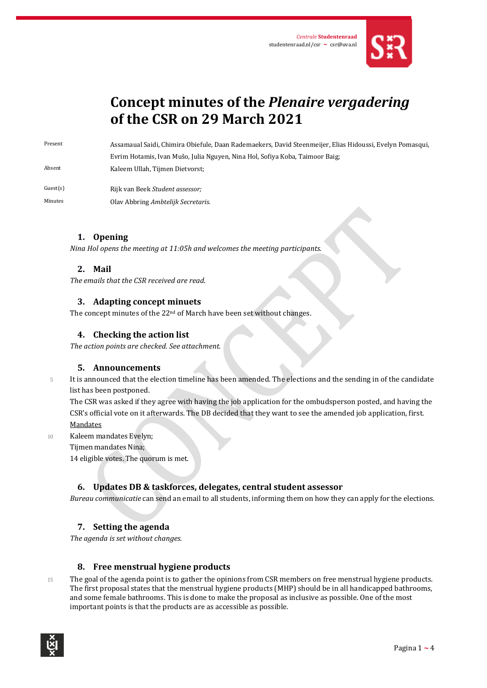

# **Concept minutes of the** *Plenaire vergadering* **of the CSR on 29 March 2021**

Present Assamaual Saidi, Chimira Obiefule, Daan Rademaekers, David Steenmeijer, Elias Hidoussi, Evelyn Pomasqui, Evrim Hotamis, Ivan Mušo, Julia Nguyen, Nina Hol, Sofiya Koba, Taimoor Baig; Absent Kaleem Ullah, Tijmen Dietvorst;

Guest(s) Rijk van Beek *Student assessor;* Minutes Olav Abbring *Ambtelijk Secretaris*.

# **1. Opening**

*Nina Hol opens the meeting at 11:05h and welcomes the meeting participants.* 

# **2. Mail**

*The emails that the CSR received are read.*

### **3. Adapting concept minuets**

The concept minutes of the 22<sup>nd</sup> of March have been set without changes.

## **4. Checking the action list**

*The action points are checked. See attachment.*

### **5. Announcements**

5 It is announced that the election timeline has been amended. The elections and the sending in of the candidate

list has been postponed. The CSR was asked if they agree with having the job application for the ombudsperson posted, and having the CSR's official vote on it afterwards. The DB decided that they want to see the amended job application, first. Mandates

10 Kaleem mandates Evelyn; Tijmen mandates Nina;

14 eligible votes. The quorum is met.

# **6. Updates DB & taskforces, delegates, central student assessor**

*Bureau communicatie* can send an email to all students, informing them on how they can apply for the elections.

# **7. Setting the agenda**

*The agenda is set without changes.*

# **8. Free menstrual hygiene products**

15 The goal of the agenda point is to gather the opinions from CSR members on free menstrual hygiene products. The first proposal states that the menstrual hygiene products (MHP) should be in all handicapped bathrooms, and some female bathrooms. This is done to make the proposal as inclusive as possible. One of the most important points is that the products are as accessible as possible.

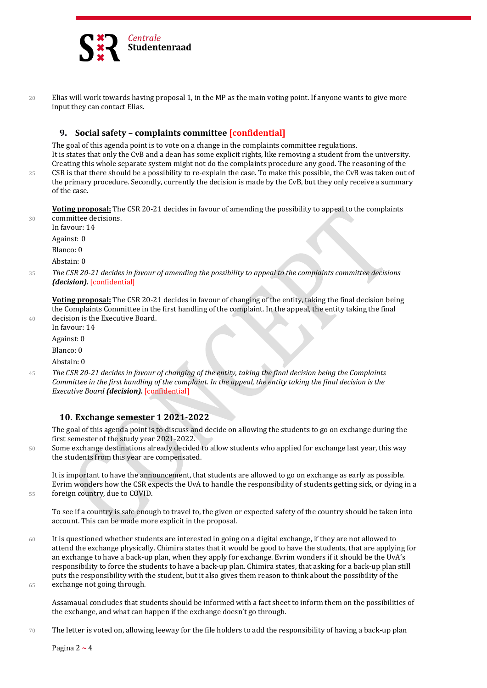

20 Elias will work towards having proposal 1, in the MP as the main voting point. If anyone wants to give more input they can contact Elias.

## **9. Social safety – complaints committee [confidential]**

The goal of this agenda point is to vote on a change in the complaints committee regulations. It is states that only the CvB and a dean has some explicit rights, like removing a student from the university. Creating this whole separate system might not do the complaints procedure any good. The reasoning of the 25 CSR is that there should be a possibility to re-explain the case. To make this possible, the CvB was taken out of

the primary procedure. Secondly, currently the decision is made by the CvB, but they only receive a summary of the case.

**Voting proposal:** The CSR 20-21 decides in favour of amending the possibility to appeal to the complaints 30 committee decisions.

In favour: 14 Against: 0

Blanco: 0

Abstain: 0

<sup>35</sup> *The CSR 20-21 decides in favour of amending the possibility to appeal to the complaints committee decisions (decision).* [confidential]

**Voting proposal:** The CSR 20-21 decides in favour of changing of the entity, taking the final decision being the Complaints Committee in the first handling of the complaint. In the appeal, the entity taking the final 40 decision is the Executive Board.

In favour: 14 Against: 0 Blanco: 0

Abstain: 0

<sup>45</sup> *The CSR 20-21 decides in favour of changing of the entity, taking the final decision being the Complaints Committee in the first handling of the complaint. In the appeal, the entity taking the final decision is the Executive Board (decision).* [confidential]

# **10. Exchange semester 1 2021-2022**

The goal of this agenda point is to discuss and decide on allowing the students to go on exchange during the first semester of the study year 2021-2022.

50 Some exchange destinations already decided to allow students who applied for exchange last year, this way the students from this year are compensated.

It is important to have the announcement, that students are allowed to go on exchange as early as possible. Evrim wonders how the CSR expects the UvA to handle the responsibility of students getting sick, or dying in a 55 foreign country, due to COVID.

To see if a country is safe enough to travel to, the given or expected safety of the country should be taken into account. This can be made more explicit in the proposal.

60 It is questioned whether students are interested in going on a digital exchange, if they are not allowed to attend the exchange physically. Chimira states that it would be good to have the students, that are applying for an exchange to have a back-up plan, when they apply for exchange. Evrim wonders if it should be the UvA's responsibility to force the students to have a back-up plan. Chimira states, that asking for a back-up plan still puts the responsibility with the student, but it also gives them reason to think about the possibility of the 65 exchange not going through.

Assamaual concludes that students should be informed with a fact sheet to inform them on the possibilities of the exchange, and what can happen if the exchange doesn't go through.

70 The letter is voted on, allowing leeway for the file holders to add the responsibility of having a back-up plan

Pagina 2 **~** 4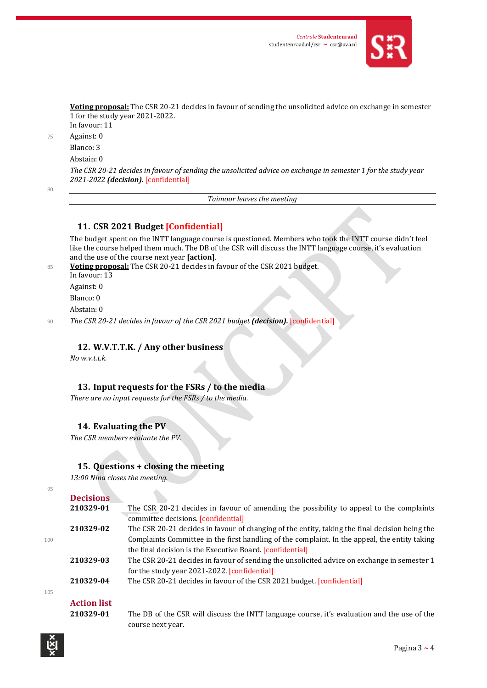

**Voting proposal:** The CSR 20-21 decides in favour of sending the unsolicited advice on exchange in semester 1 for the study year 2021-2022. In favour: 11

75 Against: 0

Blanco: 3

Abstain: 0

*The CSR 20-21 decides in favour of sending the unsolicited advice on exchange in semester 1 for the study year 2021-2022 (decision).* [confidential]

 $80$ 

*Taimoor leaves the meeting*

### **11. CSR 2021 Budget [Confidential]**

The budget spent on the INTT language course is questioned. Members who took the INTT course didn't feel like the course helped them much. The DB of the CSR will discuss the INTT language course, it's evaluation and the use of the course next year **[action]**.

<sup>85</sup> **Voting proposal:** The CSR 20-21 decides in favour of the CSR 2021 budget. In favour: 13 Against: 0 Blanco: 0 Abstain: 0 <sup>90</sup> *The CSR 20-21 decides in favour of the CSR 2021 budget (decision).* [confidential]

## **12. W.V.T.T.K. / Any other business**

*No w.v.t.t.k.*

### **13. Input requests for the FSRs / to the media**

*There are no input requests for the FSRs / to the media.*

#### **14. Evaluating the PV**

*The CSR members evaluate the PV.*

#### **15. Questions + closing the meeting**

 $\Delta$ 

*13:00 Nina closes the meeting.*

| r       |        |
|---------|--------|
| ۰,<br>٧ | I      |
| ۰.      | ×<br>٠ |
|         |        |

| 210329-01          | The CSR 20-21 decides in favour of amending the possibility to appeal to the complaints        |
|--------------------|------------------------------------------------------------------------------------------------|
|                    | committee decisions. [confidential]                                                            |
| 210329-02          | The CSR 20-21 decides in favour of changing of the entity, taking the final decision being the |
|                    | Complaints Committee in the first handling of the complaint. In the appeal, the entity taking  |
|                    | the final decision is the Executive Board. [confidential]                                      |
| 210329-03          | The CSR 20-21 decides in favour of sending the unsolicited advice on exchange in semester 1    |
|                    | for the study year 2021-2022. [confidential]                                                   |
| 210329-04          | The CSR 20-21 decides in favour of the CSR 2021 budget. [confidential]                         |
|                    |                                                                                                |
| <b>Action list</b> |                                                                                                |
|                    | <b>Decisions</b>                                                                               |

105

#### **Action list**

**210329-01** The DB of the CSR will discuss the INTT language course, it's evaluation and the use of the course next year.